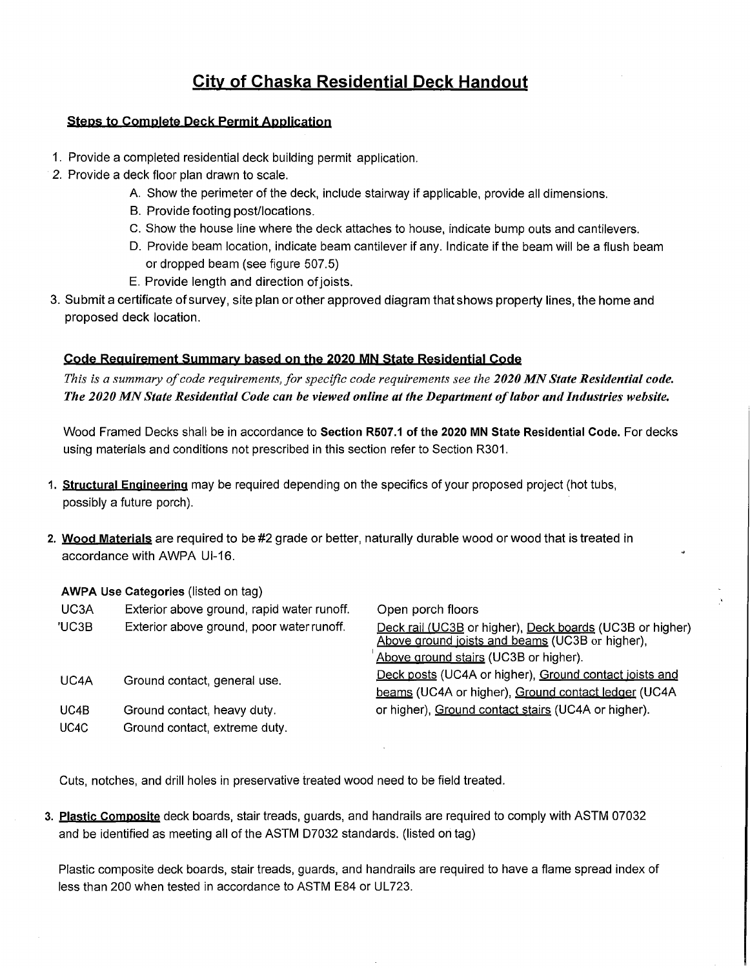## **City of Chaska Residential Deck Handout**

### **Steps to Complete Deck Permit Application**

- 1. Provide a completed residential deck building permit application.
- *2.* Provide a deck floor plan drawn to scale.
	- A. Show the perimeter of the deck, include stairway if applicable, provide all dimensions.
	- B. Provide footing post/locations.
	- C. Show the house line where the deck attaches to house, indicate bump outs and cantilevers.
	- D. Provide beam location, indicate beam cantilever if any. Indicate if the beam will be a flush beam or dropped beam (see figure 507.5)
	- E. Provide length and direction of joists.
- 3. Submit a certificate of survey, site plan or other approved diagram that shows property lines, the home and proposed deck location.

## Code Requirement Summary based on the 2020 MN State Residential Code

*This is a summary ofcode requirements, for specific code requirements see the 2020 MN State Residential code. The 2020 MN State Residential Code can be viewed online at the Department oflabor and Industries website.* 

Wood Framed Decks shall be in accordance to Section R507.1 of the 2020 MN State Residential Code. For decks using materials and conditions not prescribed in this section refer to Section R301.

- 1. **Structural Engineering** may be required depending on the specifics of your proposed project (hot tubs, possibly a future porch).
- 2. Wood Materials are required to be #2 grade or better, naturally durable wood or wood that is treated in accordance with AWPA Ul-16.

AWPA Use Categories (listed on tag)

| UC <sub>3</sub> A | Exterior above ground, rapid water runoff.                   | Open porch floors                                                                                             |
|-------------------|--------------------------------------------------------------|---------------------------------------------------------------------------------------------------------------|
| 'UC3B             | Exterior above ground, poor water runoff.                    | Deck rail (UC3B or higher), Deck boards (UC3B or higher)<br>Above ground joists and beams (UC3B or higher),   |
|                   |                                                              | Above ground stairs (UC3B or higher).                                                                         |
| UC4A              | Ground contact, general use.                                 | Deck posts (UC4A or higher), Ground contact joists and<br>beams (UC4A or higher), Ground contact ledger (UC4A |
| UC4B<br>UC4C      | Ground contact, heavy duty.<br>Ground contact, extreme duty. | or higher), Ground contact stairs (UC4A or higher).                                                           |

Cuts, notches, and drill holes in preservative treated wood need to be field treated.

3. Plastic Composite deck boards, stair treads, guards, and handrails are required to comply with ASTM 07032 and be identified as meeting all of the ASTM 07032 standards. (listed on tag)

Plastic composite deck boards, stair treads, guards, and handrails are required to have a flame spread index of less than 200 when tested in accordance to ASTM E84 or UL723.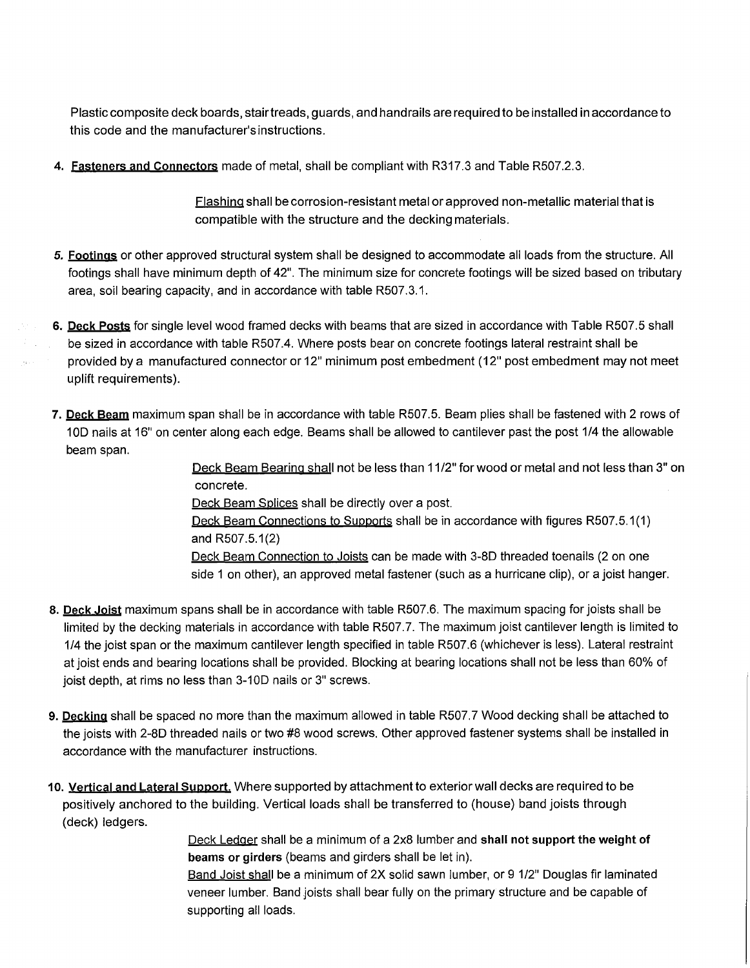Plastic composite deck boards, stair treads, guards, and handrails are required to be installed in accordance to this code and the manufacturer'sinstructions.

4. **Fasteners and Connectors** made of metal, shall be compliant with R317.3 and Table R507.2.3.

Flashing shall be corrosion-resistant metal or approved non-metallic material that is compatible with the structure and the decking materials.

- 5. Footings or other approved structural system shall be designed to accommodate all loads from the structure. All footings shall have minimum depth of 42". The minimum size for concrete footings will be sized based on tributary area, soil bearing capacity, and in accordance with table R507.3.1.
- 6. Deck Posts for single level wood framed decks with beams that are sized in accordance with Table R507.5 shall be sized in accordance with table R507.4. Where posts bear on concrete footings lateral restraint shall be provided by a manufactured connector or 12" minimum post embedment (12" post embedment may not meet uplift requirements).
- 7. Deck Beam maximum span shall be in accordance with table R507.5. Beam plies shall be fastened with 2 rows of 10D nails at 16" on center along each edge. Beams shall be allowed to cantilever past the post 1/4 the allowable beam span.

Deck Beam Bearing shall not be less than 11/2" for wood or metal and not less than 3" on concrete.

Deck Beam Splices shall be directly over a post.

Deck Beam Connections to Supports shall be in accordance with figures R507.5.1 (1) and R507.5.1(2)

Deck Beam Connection to Joists can be made with 3-8D threaded toenails (2 on one side 1 on other), an approved metal fastener (such as a hurricane clip), or a joist hanger.

- 8. Deck Joist maximum spans shall be in accordance with table R507.6. The maximum spacing for joists shall be limited by the decking materials in accordance with table R507.7. The maximum joist cantilever length is limited to 1/4 the joist span or the maximum cantilever length specified in table R507.6 (whichever is less). Lateral restraint at joist ends and bearing locations shall be provided. Blocking at bearing locations shall not be less than 60% of joist depth, at rims no less than 3-10D nails or 3" screws.
- 9. Decking shall be spaced no more than the maximum allowed in table R507.7 Wood decking shall be attached to the joists with 2-8D threaded nails or two #8 wood screws. Other approved fastener systems shall be installed in accordance with the manufacturer instructions.
- 10. Vertical and Lateral Support. Where supported by attachment to exterior wall decks are required to be positively anchored to the building. Vertical loads shall be transferred to (house) band joists through (deck) ledgers.

Deck Ledger shall be a minimum of a 2x8 lumber and shall not support the weight of beams or girders (beams and girders shall be let in).

Band Joist shall be a minimum of 2X solid sawn lumber, or 9 1/2" Douglas fir laminated veneer lumber. Band joists shall bear fully on the primary structure and be capable of supporting all loads.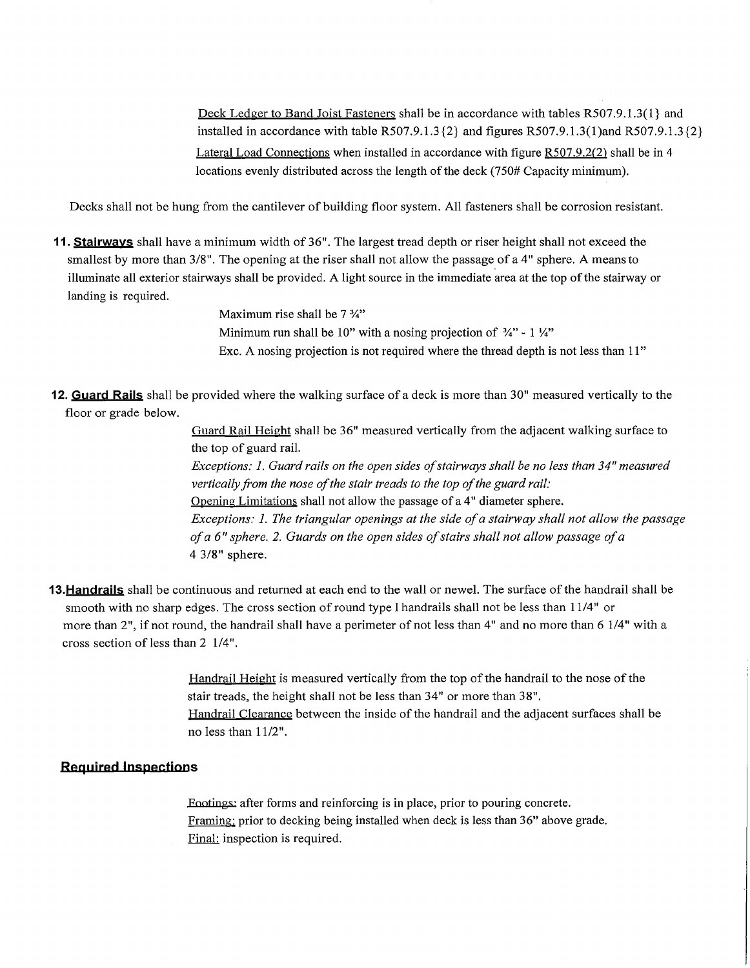Deck Ledger to Band Joist Fasteners shall be in accordance with tables R507.9.1.3(1) and installed in accordance with table R507.9.1.3 $\{2\}$  and figures R507.9.1.3 $\{1\}$ and R507.9.1.3 $\{2\}$ Lateral Load Connections when installed in accordance with figure R507.9.2(2) shall be in 4 locations evenly distributed across the length of the deck (750# Capacity minimum).

Decks shall not be hung from the cantilever of building floor system. All fasteners shall be corrosion resistant.

**11. Stairways** shall have a minimum width of 36". The largest tread depth or riser height shall not exceed the smallest by more than 3/8". The opening at the riser shall not allow the passage of a 4" sphere. A means to illuminate all exterior stairways shall be provided. A light source in the immediate area at the top ofthe stairway or landing is required.

> Maximum rise shall be  $7\frac{3}{4}$ " Minimum run shall be 10" with a nosing projection of %" - 1 *W'* Exe. A nosing projection is not required where the thread depth is not less than 11"

**12. Guard Rails** shall be provided where the walking surface of a deck is more than 30" measured vertically to the floor or grade below.

> Guard Rail Height shall be 36" measured vertically from the adjacent walking surface to the top of guard rail.

*Exceptions: 1. Guard rails on the open sides of stairways shall be no less than 34" measured vertically from the nose of the stair treads to the top of the guard rail:* Opening Limitations shall not allow the passage of a 4" diameter sphere. *Exceptions: 1. The triangular openings at the side ofa stairway shall not allow the passage ofa 6" sphere. 2. Guards on the open sides ofstairs shall not allow passage ofa*   $4.3/8"$  sphere.

**13.Handrails** shall be continuous and returned at each end to the wall or newel. The surface of the handrail shall be smooth with no sharp edges. The cross section of round type I handrails shall not be less than 11/4" or more than  $2$ <sup>"</sup>, if not round, the handrail shall have a perimeter of not less than  $4$ " and no more than  $6 \frac{1}{4}$ " with a cross section of less than  $2 \frac{1}{4}$ ".

> Handrail Height is measured vertically from the top of the handrail to the nose of the stair treads, the height shall not be less than 34" or more than 38". Handrail Clearance between the inside of the handrail and the adjacent surfaces shall be no less than 11/2".

#### **Required Inspections**

Footings· after forms and reinforcing is in place, prior to pouring concrete. Framing: prior to decking being installed when deck is less than 36" above grade. Final: inspection is required.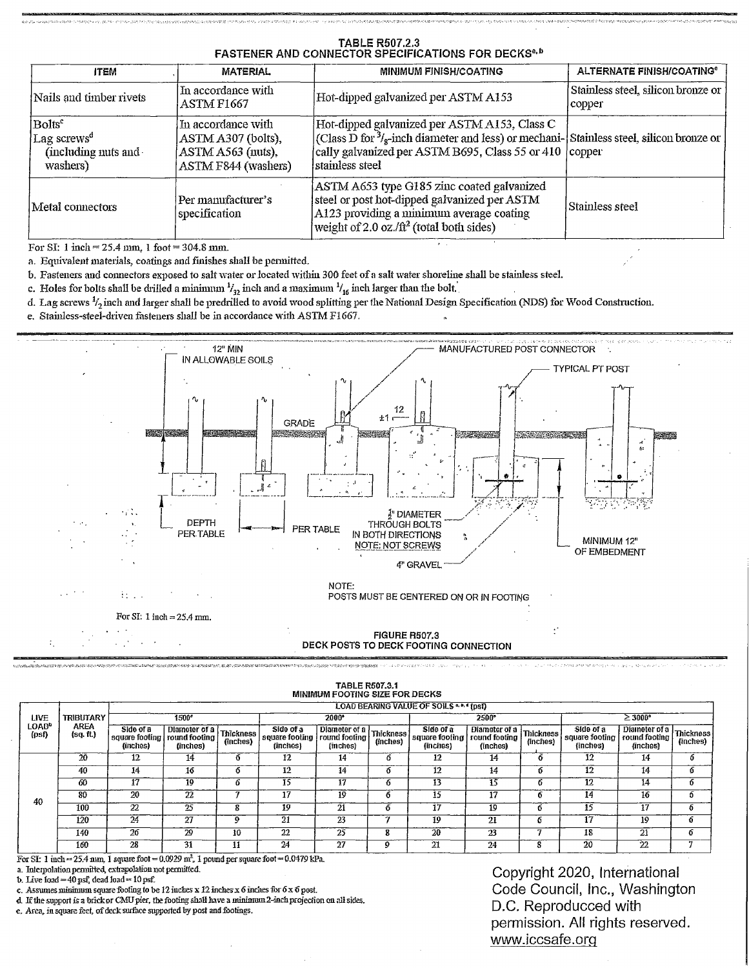| <b>FASTENER AND CONNECTOR SPECIFICATIONS FOR DECKS"</b>                                       |                                                                                             |                                                                                                                                                                                                                                 |                                               |  |  |  |  |  |
|-----------------------------------------------------------------------------------------------|---------------------------------------------------------------------------------------------|---------------------------------------------------------------------------------------------------------------------------------------------------------------------------------------------------------------------------------|-----------------------------------------------|--|--|--|--|--|
| <b>ITEM</b>                                                                                   | <b>MATERIAL</b>                                                                             | <b>MINIMUM FINISH/COATING</b>                                                                                                                                                                                                   | <b>ALTERNATE FINISH/COATING®</b>              |  |  |  |  |  |
| Nails and timber rivets                                                                       | In accordance with <br><b>ASTM F1667</b>                                                    | Hot-dipped galvanized per ASTM A153                                                                                                                                                                                             | Stainless steel, silicon bronze or<br> copper |  |  |  |  |  |
| Bolts <sup>e</sup><br>Lag screws <sup><math>d</math></sup><br>(including nuts and<br>washers) | In accordance with<br>ASTM A307 (bolts),<br>ASTM A563 (nuts),<br><b>ASTM F844 (washers)</b> | Hot-dipped galvanized per ASTM A153, Class C<br>(Class D for $\frac{3}{s}$ -inch diameter and less) or mechani- Stainless steel, silicon bronze or<br>cally galvanized per ASTM B695, Class 55 or 410 copper<br>stainless steel |                                               |  |  |  |  |  |
| Metal connectors                                                                              | Per manufacturer's<br>specification                                                         | ASTM A653 type G185 zinc coated galvanized<br>steel or post hot-dipped galvanized per ASTM<br>A123 providing a minimum average coating<br>weight of 2.0 oz./ $\hat{\pi}^2$ (total both sides)                                   | Stainless steel                               |  |  |  |  |  |

# **TABLE R507.2.3**

For SI: 1 inch = 25.4 mm, 1 foot = 304.8 mm.

a. Equivalent materials, coatings and finishes shall be permitted.

b. Fasteners and connectors exposed to salt water or located within 300 feet of a salt water shoreline shall be stainless steel.

c. Holes for bolts shall be drilled a minimum  $V_{32}$  inch and a maximum  $V_{16}$  inch larger than the bolt.

d. Lag screws <sup>1</sup>/<sub>2</sub> inch and larger shall be predrilled to avoid wood splitting per the National Design Specification (NDS) for Wood Construction.

e. Stainless-steel-driven fasteners shall be in accordance with ASTM F1667.



#### TABLE R507.3.1 MINIMUM FOOTING SIZE FOR DECKS

|                | TRIBUTARY         | LOAD BEARING VALUE OF SUILS. " "IDSI"   |                                            |                              |                                           |                                              |                       |                                         |                                                |                              |                                         |                                                                     |          |
|----------------|-------------------|-----------------------------------------|--------------------------------------------|------------------------------|-------------------------------------------|----------------------------------------------|-----------------------|-----------------------------------------|------------------------------------------------|------------------------------|-----------------------------------------|---------------------------------------------------------------------|----------|
| live           |                   | 1500*                                   |                                            |                              |                                           | 2000*                                        |                       | 2500*                                   |                                                | $\geq 3000^{\circ}$          |                                         |                                                                     |          |
| LOAD"<br>(psf) | AREA<br>(sq. ft.) | Side of a<br>square footing<br>(inches) | Diameter of a<br>round footing<br>(inches) | <b>Thickness</b><br>(inches) | Side of a<br>square footing }<br>(inches) | Diameter of a  <br>round footing<br>(inches) | Thickness<br>(inches) | Side of a<br>square footing<br>(inches) | Diameter of a<br>' round footing i<br>(inches) | <b>Thickness</b><br>(inches) | Side of a<br>square footing<br>(inches) | Diameter of a   Thickness <sup>1</sup><br>round footing<br>(inches) | (inches) |
|                | 20                | 12                                      | 14                                         | n                            | . .                                       | 14                                           | Ω                     | 12                                      | 14                                             | Ū                            | 12                                      | 14                                                                  |          |
|                | 40                | 14                                      | 16                                         | o                            | 12                                        | 14                                           |                       | 12                                      | 14                                             |                              | 12                                      | 14                                                                  | Ð        |
|                | 60                | 17                                      | -19                                        |                              |                                           |                                              | n                     | 13                                      |                                                |                              | 12                                      | 14                                                                  | O        |
| 40             | 80                | 20                                      | 22                                         |                              |                                           | 19                                           |                       |                                         | 17                                             |                              | 14                                      | 16                                                                  | Ð        |
|                | 100               | 22                                      | 25                                         |                              | 19                                        | ኅ1                                           | o                     |                                         | 19                                             | Ð                            | 15                                      |                                                                     |          |
|                | 120               | 24                                      | 27                                         |                              | 21                                        | 23                                           |                       | 19                                      | 21                                             |                              | 17                                      | 19                                                                  |          |
|                | 140               | 26                                      | 29                                         | 10                           | 22                                        | 25                                           | R                     | 20                                      | 23                                             |                              | 18                                      | 21                                                                  |          |
|                | 160               | 28                                      | 31                                         |                              | 24                                        | 27                                           | ٥                     | 21                                      | 24                                             |                              | 20                                      | 22                                                                  |          |

For SI: 1 inch =  $25.4$  nm, 1 square foot = 0.0929 m<sup>2</sup>, 1 pound per square foot = 0.0479 kPa.

a. Interpolation permitted, extrapolation not permitted.

b. Live load =  $40$  psf, dead load =  $10$  psf.

c. Assumes minimum square footing to be 12 inches x 12 inches x 6 inches for  $6 \times 6$  post.

d. If the support is a brick or CMU pier, the footing shall have a minimum 2-inch projection on all sides.

e. Area, in square feet, of deck surface supported by post and footings.

Copyright 2020, International Code Council, Inc., Washington D.C. Reproducced with permission. All rights reserved. www.iccsafe.org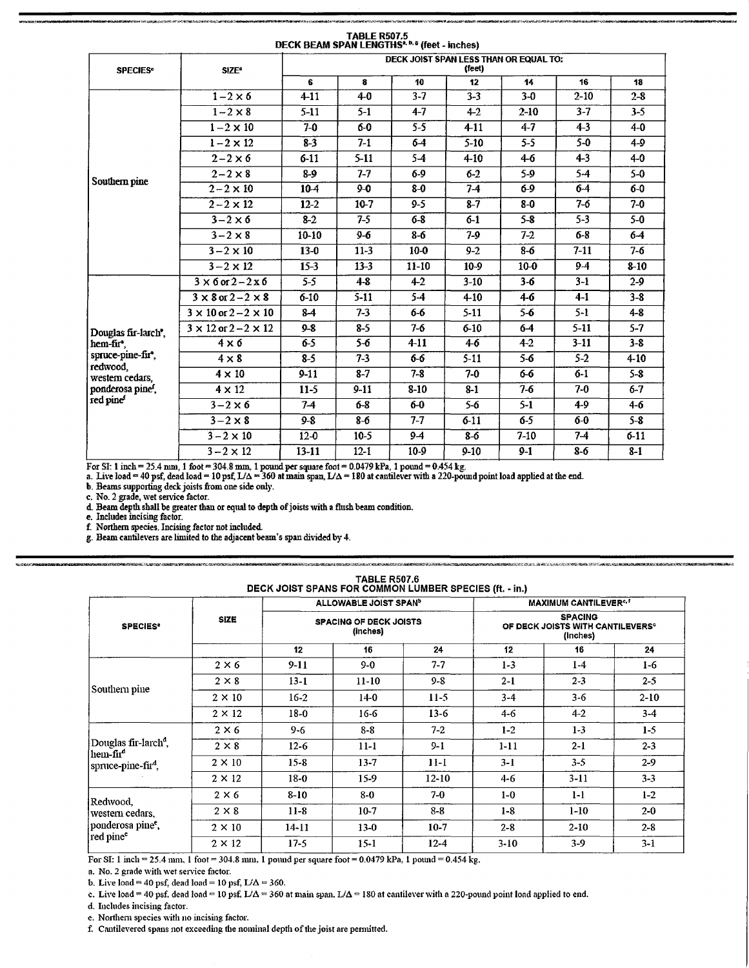|  | <b>TABLE R507.5</b> |                                                                     |
|--|---------------------|---------------------------------------------------------------------|
|  |                     | DECK BEAM SPAN LENGTHS <sup>*</sup> b. <sup>8</sup> (feet - inches) |

|                                  |                                    | DECK JOIST SPAN LESS THAN OR EQUAL TO: |          |           |          |          |          |          |  |
|----------------------------------|------------------------------------|----------------------------------------|----------|-----------|----------|----------|----------|----------|--|
| <b>SPECIES<sup>e</sup></b>       | SIZE <sup>*</sup>                  |                                        |          |           | (feet)   |          |          |          |  |
|                                  |                                    | 6                                      | 8        | 10        | 12       | 14       | 16       | 18       |  |
|                                  | $1-2\times 6$                      | 4-11                                   | $4-0$    | $3-7$     | $3 - 3$  | $3-0$    | $2 - 10$ | $2 - 8$  |  |
|                                  | $1-2 \times 8$                     | $5 - 11$                               | $5-1$    | $4-7$     | $4-2$    | $2 - 10$ | $3-7$    | $3 - 5$  |  |
|                                  | $1 - 2 \times 10$                  | $7-0$                                  | 6-0      | $5-5$     | $4-11$   | $4-7$    | $4-3$    | $4 - 0$  |  |
|                                  | $1 - 2 \times 12$                  | $8 - 3$                                | $7-1$    | $6-4$     | $5 - 10$ | $5-5$    | 5-0      | $4 - 9$  |  |
|                                  | $2-2\times 6$                      | $6 - 11$                               | 5-11     | $5-4$     | $4-10$   | $4-6$    | $4-3$    | $4-0$    |  |
|                                  | $2-2\times8$                       | $8-9$                                  | $7 - 7$  | 6-9       | $6 - 2$  | $5-9$    | $5-4$    | $5-0$    |  |
| Southern pine                    | $2-2 \times 10$                    | $10-4$                                 | $9-0$    | $8-0$     | $7-4$    | $6 - 9$  | $6-4$    | $6 - 0$  |  |
|                                  | $2 - 2 \times 12$                  | $12 - 2$                               | $10-7$   | $9 - 5$   | $8 - 7$  | $8-0$    | $7 - 6$  | $7-0$    |  |
|                                  | $3-2\times 6$                      | $8-2$                                  | $7-5$    | $6 - 8$   | $6 - 1$  | $5-8$    | $5-3$    | $5-0$    |  |
|                                  | $3-2 \times 8$                     | $10 - 10$                              | $9-6$    | $8-6$     | $7-9$    | $7 - 2$  | $6-8$    | $6-4$    |  |
|                                  | $3 - 2 \times 10$                  | $13 - 0$                               | $11-3$   | $10-0$    | $9 - 2$  | $8-6$    | $7 - 11$ | $7 - 6$  |  |
|                                  | $3 - 2 \times 12$                  | $15 - 3$                               | $13 - 3$ | $11 - 10$ | $10-9$   | $10 - 0$ | $9-4$    | $8 - 10$ |  |
|                                  | $3 \times 6$ or $2 - 2 \times 6$   | 5-5                                    | 4-8      | $4 - 2$   | $3-10$   | $3 - 6$  | $3-1$    | $2 - 9$  |  |
|                                  | $3 \times 8$ or $2 - 2 \times 8$   | $6 - 10$                               | 5-11     | $5-4$     | $4-10$   | $4-6$    | $4-1$    | $3-8$    |  |
|                                  | $3 \times 10$ or $2 - 2 \times 10$ | $8-4$                                  | $7 - 3$  | 6-6       | $5 - 11$ | $5-6$    | $5 - 1$  | $4 - 8$  |  |
| Douglas fir-larch <sup>o</sup> , | $3 \times 12$ or $2 - 2 \times 12$ | $9-8$                                  | $8 - 5$  | $7-6$     | 6-10     | $6-4$    | $5 - 11$ | $5 - 7$  |  |
| hem-fir <sup>4</sup> .           | $4 \times 6$                       | $6 - 5$                                | $5 - 6$  | $4-11$    | $+6$     | $4-2$    | $3 - 11$ | $3 - 8$  |  |
| spruce-pine-fir <sup>*</sup> ,   | $4 \times 8$                       | $8-5$                                  | $7 - 3$  | 6-6       | $5 - 11$ | $5-6$    | $5-2$    | $4 - 10$ |  |
| redwood.<br>westem cedars.       | $4 \times 10$                      | $9 - 11$                               | $8 - 7$  | $7 - 8$   | $7-0$    | $6 - 6$  | $6 - 1$  | $5-8$    |  |
| ponderosa pine <sup>f</sup> ,    | $4 \times 12$                      | $11-5$                                 | $9-11$   | $8 - 10$  | $8-1$    | $7-6$    | $7-0$    | $6 - 7$  |  |
| red pine <sup>3</sup>            | $3-2 \times 6$                     | $7-4$                                  | $6-8$    | $6-0$     | $5-6$    | $5-1$    | $4-9$    | $4 - 6$  |  |
|                                  | $3-2\times8$                       | $9-8$                                  | $8 - 6$  | $7 - 7$   | $6 - 11$ | $6 - 5$  | 6-0      | $5-8$    |  |
|                                  | $3 - 2 \times 10$                  | $12 - 0$                               | $10-5$   | $9-4$     | $8-6$    | $7 - 10$ | $7 - 4$  | $6 - 11$ |  |
|                                  | $3-2 \times 12$                    | $13 - 11$                              | $12-1$   | $10-9$    | $9-10$   | $9 - 1$  | $8-6$    | $8 - 1$  |  |

For SI: 1 inch = 25.4 mm, 1 foot = 304.8 mm, 1 pound per square foot = 0.0479 kPa, 1 pound = 0.454 kg.<br>a. Live load = 40 psf, dead load = 10 psf, L/∆ = 360 at main span, L/∆ = 180 at cantilever with a 220-pound point load

b\_ Beams supporting deck joists from one side only.

c. No\_ 2 grade, wet service factor\_

d. Beam depth shall be greater than or equal to depth of joists with a flush beam condition.<br>e. Includes incising factor.

f. Northern species. Incising factor not included.

g. Beam cantilevers are limited to the adjacent beam's span divided by 4.

| <b>TABLE R507.6</b>                                    |
|--------------------------------------------------------|
| DECK JOIST SPANS FOR COMMON LUMBER SPECIES (ft. - in.) |

|                                                           |               |           | ALLOWABLE JOIST SPAN <sup>D</sup>         |           | <b>MAXIMUM CANTILEVER<sup>c.</sup></b>                                     |          |         |  |  |
|-----------------------------------------------------------|---------------|-----------|-------------------------------------------|-----------|----------------------------------------------------------------------------|----------|---------|--|--|
| <b>SPECIES'</b>                                           | <b>SIZE</b>   |           | <b>SPACING OF DECK JOISTS</b><br>(inches) |           | <b>SPACING</b><br>OF DECK JOISTS WITH CANTILEVERS <sup>e</sup><br>(inches) |          |         |  |  |
|                                                           |               | 12        | 16                                        | 24        | 12                                                                         | 16       | 24      |  |  |
|                                                           | $2 \times 6$  | $9 - 11$  | $9 - 0$                                   | $7 - 7$   | $1 - 3$                                                                    | $1-4$    | $1-6$   |  |  |
|                                                           | $2 \times 8$  | $13-1$    | $11-10$                                   | $9 - 8$   | $2 - 1$                                                                    | $2 - 3$  | $2 - 5$ |  |  |
| Southern pine                                             | $2 \times 10$ | $16-2$    | $14-0$                                    | $11-5$    | $3 - 4$                                                                    | $3 - 6$  | $2-10$  |  |  |
|                                                           | $2 \times 12$ | $18-0$    | $16-6$                                    | $13-6$    | 4-6                                                                        | $4 - 2$  | $3-4$   |  |  |
|                                                           | $2 \times 6$  | $9 - 6$   | $8 - 8$                                   | $7 - 2$   | $1-2$                                                                      | $1-3$    | $1-5$   |  |  |
| Douglas fir-larch <sup>a</sup> ,<br> hem-fir <sup>a</sup> | $2 \times 8$  | $12 - 6$  | $11 - 1$                                  | 9-1       | $1 - 11$                                                                   | $2 - 1$  | $2 - 3$ |  |  |
| spruce-pine-fir <sup>d</sup> ,                            | $2 \times 10$ | $15 - 8$  | $13 - 7$                                  | $11 - 1$  | $3 - 1$                                                                    | $3 - 5$  | $2 - 9$ |  |  |
|                                                           | $2 \times 12$ | $18-0$    | 15-9                                      | $12 - 10$ | $4-6$                                                                      | $3 - 11$ | $3 - 3$ |  |  |
| Redwood,                                                  | $2 \times 6$  | $8-10$    | $8-0$                                     | $7-0$     | $1 - 0$                                                                    | $1-1$    | $1 - 2$ |  |  |
| western cedars.                                           | $2 \times 8$  | $11-8$    | $10-7$                                    | $8 - 8$   | $1-8$                                                                      | $1-10$   | $2 - 0$ |  |  |
| ponderosa pine <sup>e</sup> ,                             | $2 \times 10$ | $14 - 11$ | $13-0$                                    | $10-7$    | $2 - 8$                                                                    | $2 - 10$ | $2 - 8$ |  |  |
| red pine <sup>e</sup>                                     | $2 \times 12$ | $17-5$    | $15-1$                                    | $12 - 4$  | $3-10$                                                                     | $3-9$    | $3-1$   |  |  |

For SI: 1 inch = 25.4 mm, 1 foot = 304.8 mm, 1 pound per square foot = 0.0479 kPa, 1 pound = 0.454 kg.

a. No. 2 grade with wet service factor.

b. Live load = 40 psf, dead load = 10 psf,  $L/\Delta$  = 360.

c. Live load = 40 psf. dead load = 10 psf, L/ $\Delta$  = 360 at main span, L/ $\Delta$  = 180 at cantilever with a 220-pound point load applied to end.

d. Includes incising factor.

e. Northem species with no incising factor.

f. Cantilevered spans not exceeding the nominal depth of the joist are permitted.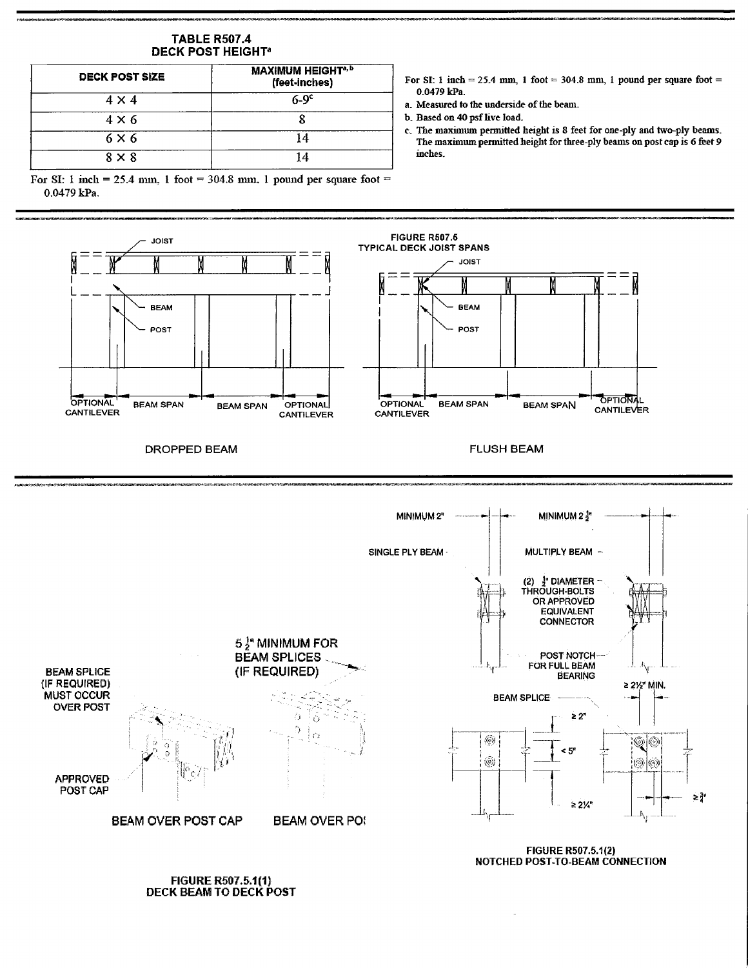#### TABLE R507.4 DECK POST HEIGHT<sup>®</sup>

| <b>DECK POST SIZE</b> | <b>MAXIMUM HEIGHT<sup>a, b</sup></b><br>(feet-inches) |
|-----------------------|-------------------------------------------------------|
| $4 \times 4$          | $6-9$                                                 |
| $4 \times 6$          |                                                       |
| $6 \times 6$          |                                                       |
| $8 \times 8$          |                                                       |

For SI: 1 inch = 25.4 nm, 1 foot = 304.8 mm, 1 pound per square foot = 0.0479kPa.

*L* FIGURE R507.6 JOIST TYPICAL DECK JOIST SPANS  $\mathbb{R}^m$   $\mathbb{R}^m$   $\mathbb{R}^m$   $\mathbb{R}^m$   $\mathbb{R}^m$   $\mathbb{R}^m$   $\mathbb{R}^m$   $\mathbb{R}^m$   $\mathbb{R}^m$   $\mathbb{R}^m$   $\mathbb{R}^m$   $\mathbb{R}^m$   $\mathbb{R}^m$   $\mathbb{R}^m$   $\mathbb{R}^m$   $\mathbb{R}^m$   $\mathbb{R}^m$   $\mathbb{R}^m$   $\mathbb{R}^m$   $\mathbb{R}^m$  **A**<br>--' \_\_J BEAM **BEAM**  $\blacktriangleright$ I POST POST **OPTIONAL OPTIONAL** BEAM SPAN BEAM SPAN OPTIONAL OPTIONAL BEAM SPAN BEAM SPAN **CANTILEVER** CANTILEVER CANTILEVER CANTILEVER DROPPED BEAM FLUSH BEAM MINIMUM2"  $\frac{1}{\sqrt{2}}$   $\frac{1}{\sqrt{2}}$   $\frac{1}{\sqrt{2}}$   $\frac{1}{\sqrt{2}}$   $\frac{1}{\sqrt{2}}$   $\frac{1}{\sqrt{2}}$   $\frac{1}{\sqrt{2}}$   $\frac{1}{\sqrt{2}}$   $\frac{1}{\sqrt{2}}$   $\frac{1}{\sqrt{2}}$   $\frac{1}{\sqrt{2}}$   $\frac{1}{\sqrt{2}}$   $\frac{1}{\sqrt{2}}$   $\frac{1}{\sqrt{2}}$   $\frac{1}{\sqrt{2}}$   $\frac{1}{\sqrt{2}}$   $\frac{1}{\sqrt{2}}$  SINGLE PLY BEAM - I MULTIPLY BEAM - $(2)$   $\frac{1}{2}$ " DIAMETER -'THROUGH-BOLTS OR APPROVED EQUIVALENT CONNECTOR  $5\frac{1}{2}$ <sup>"</sup> MINIMUM FOR **BEAM SPLICES** POST NOTCH- FOR FULL BEAM BEAM SPLICE (IF REQUIRED) **BEARING** (IF REQUIRED) ≥ 21/2" MIN. MUST OCCUR BEAM SPLICE OVER POST  $\geq$  2" Ğ ó  $\sim$  $\frac{1}{\sqrt{2}}$ ð *:*~~J:I, ..,.,,, : ----:-1«5· ۱Õ (وَ) ·, -, <sup>f</sup>  $\binom{c}{2}$ ks) APPROVED POST CAP ≥∲'  $\geq$  2 $\frac{1}{4}$ "  $\overline{\mathcal{A}}$ BEAM OVER POST CAP BEAM OVER PO! 'i

FIGURE R507.5.1(2) NOTCHED POST-TO-BEAM CONNECTION

For SI: 1 inch = 25.4 mm, 1 foot = 304.8 mm, 1 pound per square foot =

c. The maximum pennitted height is 8 feet for one-ply and two-ply beams. The maximum permitted height for three-ply beams on post cap is 6 feet *9* 

0.0479kPa.

inches.

b. Based on 40 psflive load.

a. Measured to the underside of the beam.

FIGURE R507.5.1(1) DECK BEAM TO DECK POST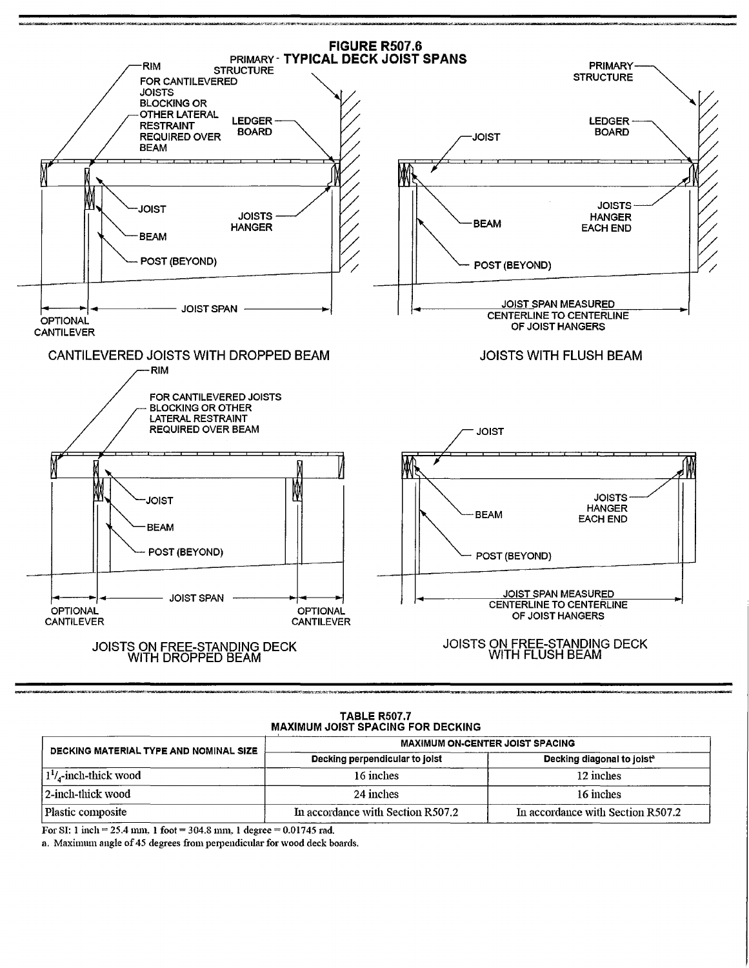

TABLE R507.7 MAXIMUM JOIST SPACING FOR DECKING

| DECKING MATERIAL TYPE AND NOMINAL SIZE | <b>MAXIMUM ON-CENTER JOIST SPACING</b> |                                        |  |  |  |  |
|----------------------------------------|----------------------------------------|----------------------------------------|--|--|--|--|
|                                        | Decking perpendicular to jolst         | Decking diagonal to joist <sup>4</sup> |  |  |  |  |
| $1^{1}/$ -inch-thick wood              | 16 inches                              | 12 inches                              |  |  |  |  |
| 2-inch-thick wood                      | 24 inches                              | 16 inches                              |  |  |  |  |
| Plastic composite                      | In accordance with Section R507.2      | In accordance with Section R507.2      |  |  |  |  |

For SI: 1 inch = 25.4 mm,  $1$  foot = 304.8 mm, 1 degree = 0.01745 rad.

a. Maximum angle of 45 degrees from perpendicular for wood deck boards.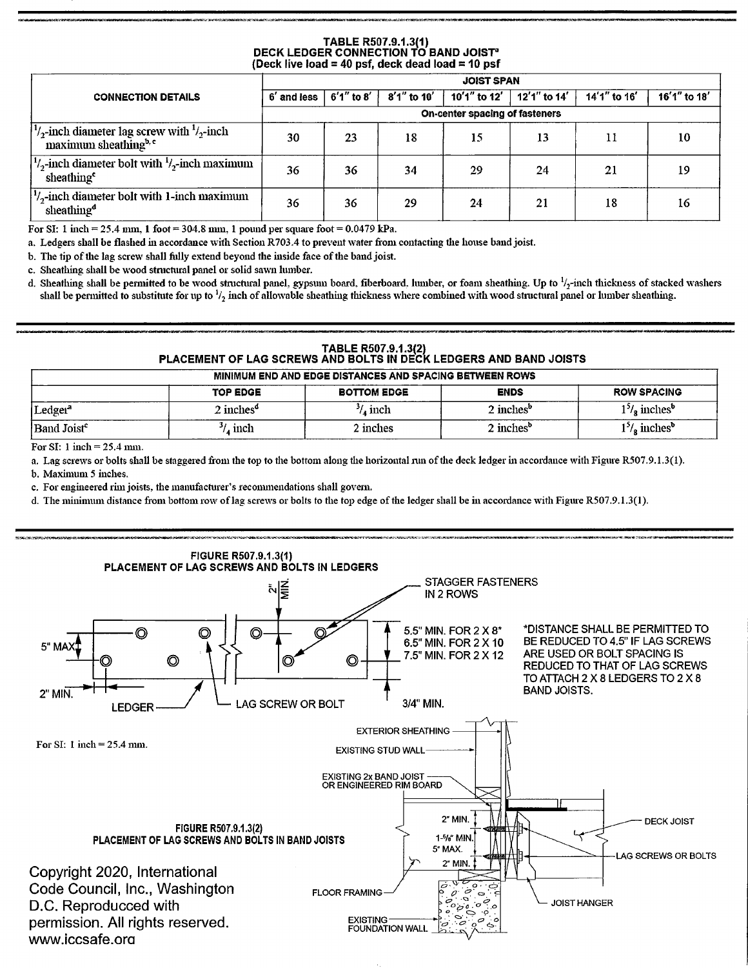## TABLE R507.9.1.3(1)<br>"DECK LEDGER CONNECTION TO BAND JOIST (Deck live load = 40 psf, deck dead load = 10 psf

|                                                                                                      | <b>JOIST SPAN</b>              |                 |                  |              |              |              |              |  |  |
|------------------------------------------------------------------------------------------------------|--------------------------------|-----------------|------------------|--------------|--------------|--------------|--------------|--|--|
| <b>CONNECTION DETAILS</b>                                                                            | $6'$ and less $ $              | $6'1''$ to $8'$ | $8'1''$ to $10'$ | 10'1" to 12' | 12'1" to 14' | 14'1" to 16' | 16'1" to 18' |  |  |
|                                                                                                      | On-center spacing of fasteners |                 |                  |              |              |              |              |  |  |
| $\frac{1}{2}$ -inch diameter lag screw with $\frac{1}{2}$ -inch<br>maximum sheathing <sup>b, c</sup> | 30                             | 23              | 18               | 15           | 13           |              | 10           |  |  |
| $\frac{1}{2}$ -inch diameter bolt with $\frac{1}{2}$ -inch maximum<br>sheathing <sup>c</sup>         | 36                             | 36              | 34               | 29           | 24           | 21           | 19           |  |  |
| $\frac{1}{2}$ -inch diameter bolt with 1-inch maximum<br>sheathing <sup>d</sup>                      | 36                             | 36              | 29               | 24           | 21           | 18           | 16           |  |  |

For SI: 1 inch = 25.4 mm, 1 foot = 304.8 mm, 1 pound per square foot =  $0.0479$  kPa.

a. Ledgers shall be flashed in accordance with Section R703 .4 to prevent water from contacting the house band joist.

b. The tip of the lag screw shall fully extend beyond the inside face of the band joist.

c. Sheathing shall be wood stmctural panel or solid sawn lumber.

d. Sheathing shall be permitted to be wood structural panel, gypsum board, fiberboard, lumber, or foam sheathing. Up to  $\frac{1}{2}$ -inch thickness of stacked washers shall be permitted to substitute for up to  $\frac{1}{2}$  inch of allowable sheathing thickness where combined with wood structural panel or lumber sheathing.

## TABLE R507.9.1.3(2) PLACEMENT OF LAG SCREWS AND BOLTS IN DECK LEDGERS AND BAND JOISTS

#### MINIMUM END AND EDGE DISTANCES AND SPACING BETWEEN ROWS

| ___                 | TOP EDGE | <b>BOTTOM EDGE</b> | <b>ENDS</b>         | <b>ROW SPACING</b> |  |  |  |  |  |
|---------------------|----------|--------------------|---------------------|--------------------|--|--|--|--|--|
| Ledger <sup>a</sup> | mches"   | mch                | inches <sup>"</sup> | mches              |  |  |  |  |  |
| Band Joist          | mch      | mches              | inches"             | inches"            |  |  |  |  |  |

For SI: 1 inch  $= 25.4$  mm.

a. Lag screws or bolts shall be staggered from the top to the bottom along the horizontal run of the deck ledger in accordance with Figure R507.9.1.3(1).

b. Maximum *5* inches.

c. For engineered rim joists, the manufacturer's recommendations shall govern.

d. The minimum distance from bottom row of lag screws or bolts to the top edge of the ledger shall be in accordance with Figure R507.9.1.3(1).

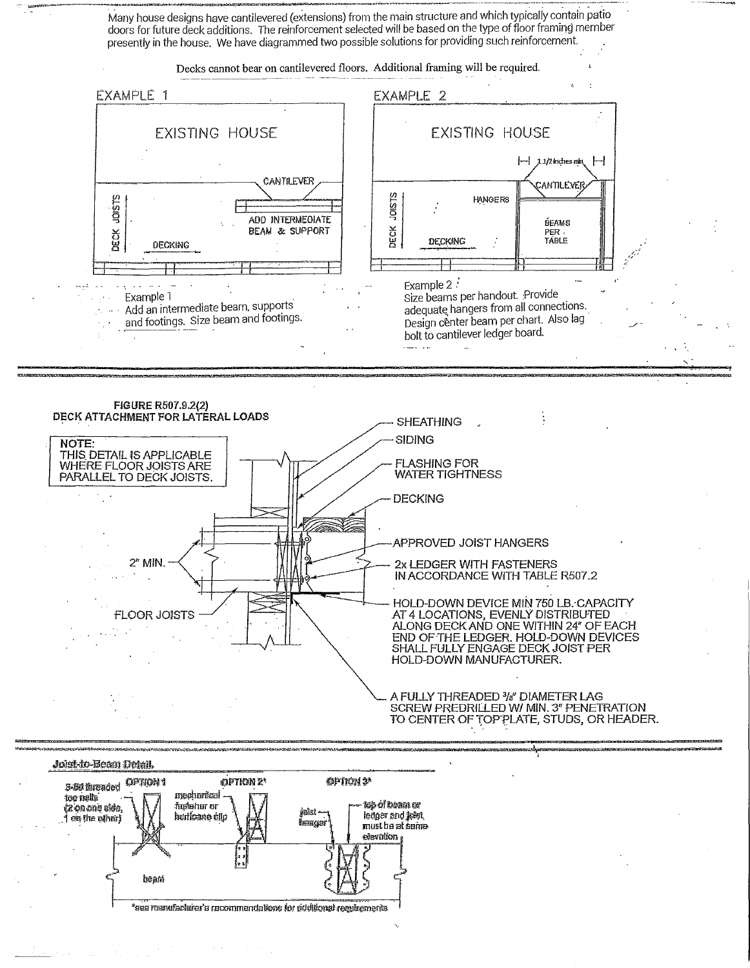Many house designs have cantilevered (extensions) from the main structure and which typically contain patio doors for future deck additions. The reinforcement selected will be based on the type of floor framing member presently in the house. We *have* diagrammed two possible solutions for providing such reinforcement.

- '=""'\_............,,\_...--~----~--.......... \_.,\_\_,,~,....--~...~~~'!=-~~~~~--~.......-.\_\_, ..........:.,.....\_ \_,.,..\_\_\_......................~----------------~----------~··:---···

Decks cannot bear on cantilevered floors. Additional framing will be required.